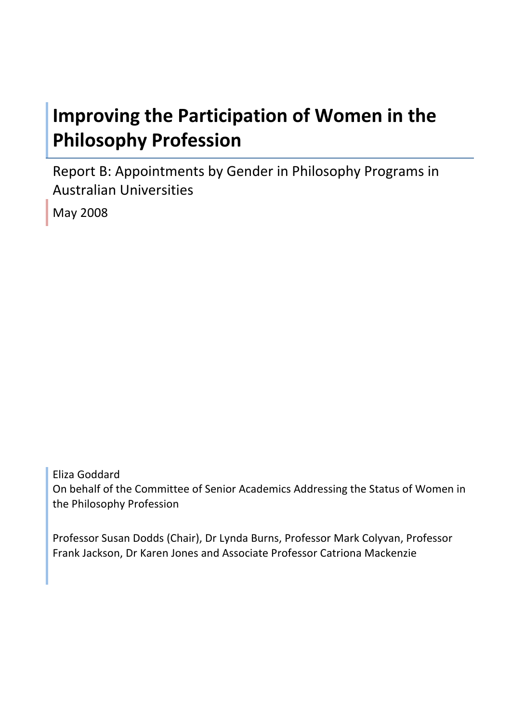# **Improving the Participation of Women in the Philosophy Profession**

Report B: Appointments by Gender in Philosophy Programs in Australian Universities

May 2008

Eliza Goddard On behalf of the Committee of Senior Academics Addressing the Status of Women in the Philosophy Profession

Professor Susan Dodds (Chair), Dr Lynda Burns, Professor Mark Colyvan, Professor Frank Jackson, Dr Karen Jones and Associate Professor Catriona Mackenzie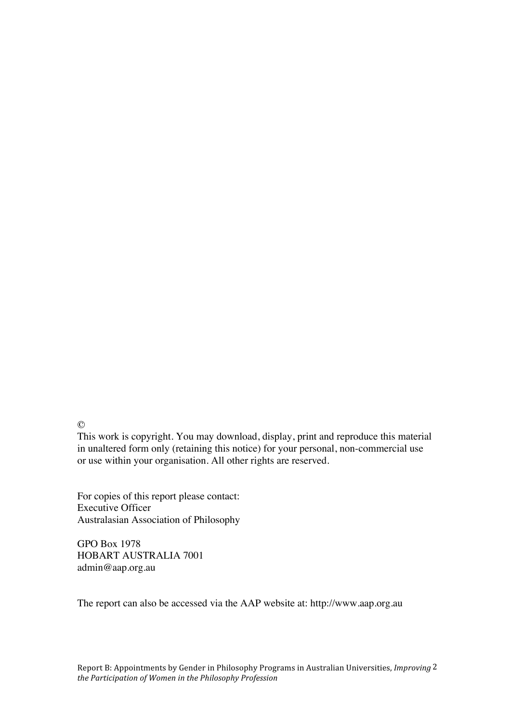$\odot$ 

This work is copyright. You may download, display, print and reproduce this material in unaltered form only (retaining this notice) for your personal, non-commercial use or use within your organisation. All other rights are reserved.

For copies of this report please contact: Executive Officer Australasian Association of Philosophy

GPO Box 1978 HOBART AUSTRALIA 7001 admin@aap.org.au

The report can also be accessed via the AAP website at: http://www.aap.org.au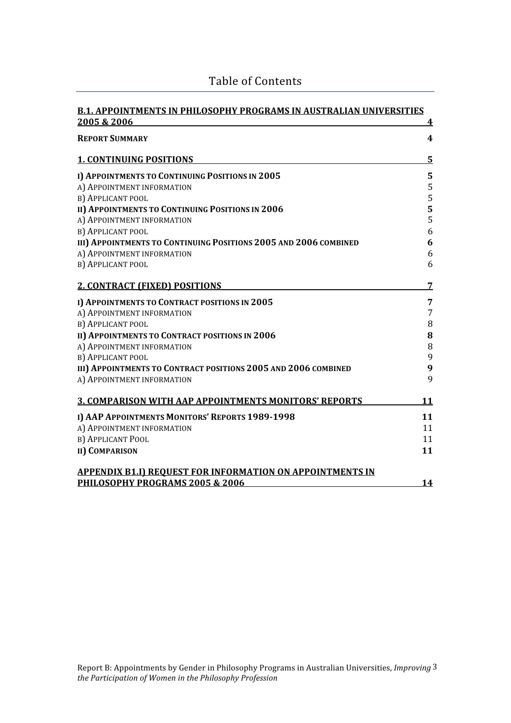| <b>B.1. APPOINTMENTS IN PHILOSOPHY PROGRAMS IN AUSTRALIAN UNIVERSITIES</b> |                |
|----------------------------------------------------------------------------|----------------|
| 2005 & 2006                                                                | 4              |
| <b>REPORT SUMMARY</b>                                                      | 4              |
| <b>1. CONTINUING POSITIONS</b>                                             | $5\phantom{1}$ |
| I) APPOINTMENTS TO CONTINUING POSITIONS IN 2005                            | 5              |
| A) APPOINTMENT INFORMATION                                                 | $\sqrt{5}$     |
| B) APPLICANT POOL                                                          | 5              |
| II) APPOINTMENTS TO CONTINUING POSITIONS IN 2006                           | 5              |
| A) APPOINTMENT INFORMATION                                                 | 5              |
| B) APPLICANT POOL                                                          | 6              |
| III) APPOINTMENTS TO CONTINUING POSITIONS 2005 AND 2006 COMBINED           | 6              |
| A) APPOINTMENT INFORMATION                                                 | 6              |
| B) APPLICANT POOL                                                          | 6              |
| <b>2. CONTRACT (FIXED) POSITIONS</b>                                       | 7              |
| I) APPOINTMENTS TO CONTRACT POSITIONS IN 2005                              | 7              |
| A) APPOINTMENT INFORMATION                                                 | 7              |
| B) APPLICANT POOL                                                          | $\, 8$         |
| II) APPOINTMENTS TO CONTRACT POSITIONS IN 2006                             | ${\bf 8}$      |
| A) APPOINTMENT INFORMATION                                                 | $\, 8$         |
| B) APPLICANT POOL                                                          | 9              |
| III) APPOINTMENTS TO CONTRACT POSITIONS 2005 AND 2006 COMBINED             | 9              |
| A) APPOINTMENT INFORMATION                                                 | 9              |
| <b>3. COMPARISON WITH AAP APPOINTMENTS MONITORS' REPORTS</b>               | 11             |
| I) AAP APPOINTMENTS MONITORS' REPORTS 1989-1998                            | 11             |
| A) APPOINTMENT INFORMATION                                                 | 11             |
| B) APPLICANT POOL                                                          | 11             |
| <b>II) COMPARISON</b>                                                      | 11             |
| <b>APPENDIX B1.I) REQUEST FOR INFORMATION ON APPOINTMENTS IN</b>           |                |
| PHILOSOPHY PROGRAMS 2005 & 2006                                            | <b>14</b>      |

## Table of Contents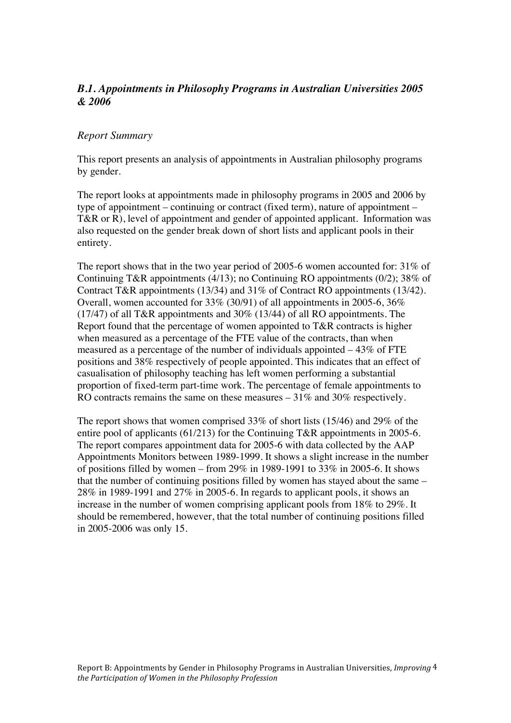## *B.1. Appointments in Philosophy Programs in Australian Universities 2005 & 2006*

#### *Report Summary*

This report presents an analysis of appointments in Australian philosophy programs by gender.

The report looks at appointments made in philosophy programs in 2005 and 2006 by type of appointment – continuing or contract (fixed term), nature of appointment – T&R or R), level of appointment and gender of appointed applicant. Information was also requested on the gender break down of short lists and applicant pools in their entirety.

The report shows that in the two year period of 2005-6 women accounted for: 31% of Continuing T&R appointments (4/13); no Continuing RO appointments (0/2); 38% of Contract T&R appointments (13/34) and 31% of Contract RO appointments (13/42). Overall, women accounted for 33% (30/91) of all appointments in 2005-6, 36% (17/47) of all T&R appointments and 30% (13/44) of all RO appointments. The Report found that the percentage of women appointed to T&R contracts is higher when measured as a percentage of the FTE value of the contracts, than when measured as a percentage of the number of individuals appointed – 43% of FTE positions and 38% respectively of people appointed. This indicates that an effect of casualisation of philosophy teaching has left women performing a substantial proportion of fixed-term part-time work. The percentage of female appointments to RO contracts remains the same on these measures – 31% and 30% respectively.

The report shows that women comprised 33% of short lists (15/46) and 29% of the entire pool of applicants (61/213) for the Continuing T&R appointments in 2005-6. The report compares appointment data for 2005-6 with data collected by the AAP Appointments Monitors between 1989-1999. It shows a slight increase in the number of positions filled by women – from 29% in 1989-1991 to 33% in 2005-6. It shows that the number of continuing positions filled by women has stayed about the same – 28% in 1989-1991 and 27% in 2005-6. In regards to applicant pools, it shows an increase in the number of women comprising applicant pools from 18% to 29%. It should be remembered, however, that the total number of continuing positions filled in 2005-2006 was only 15.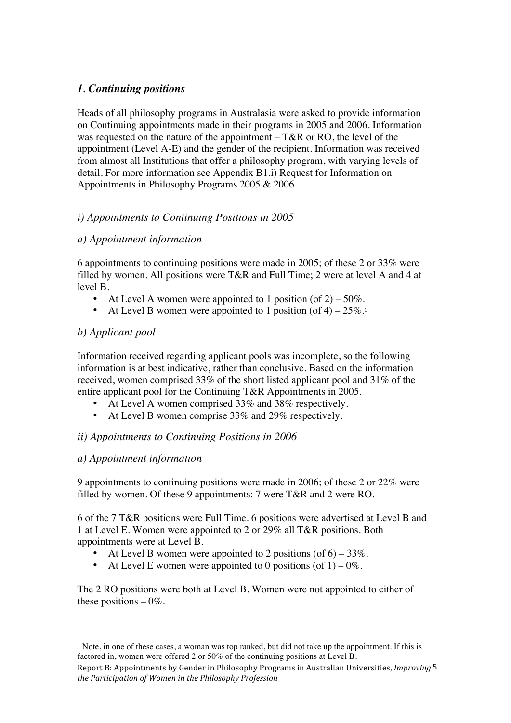## *1. Continuing positions*

Heads of all philosophy programs in Australasia were asked to provide information on Continuing appointments made in their programs in 2005 and 2006. Information was requested on the nature of the appointment – T&R or RO, the level of the appointment (Level A-E) and the gender of the recipient. Information was received from almost all Institutions that offer a philosophy program, with varying levels of detail. For more information see Appendix B1.i) Request for Information on Appointments in Philosophy Programs 2005 & 2006

## *i) Appointments to Continuing Positions in 2005*

## *a) Appointment information*

6 appointments to continuing positions were made in 2005; of these 2 or 33% were filled by women. All positions were T&R and Full Time; 2 were at level A and 4 at level B.

- At Level A women were appointed to 1 position (of  $2$ ) 50%.
- At Level B women were appointed to 1 position (of  $4$ )  $25\%$ .<sup>1</sup>

## *b) Applicant pool*

Information received regarding applicant pools was incomplete, so the following information is at best indicative, rather than conclusive. Based on the information received, women comprised 33% of the short listed applicant pool and 31% of the entire applicant pool for the Continuing T&R Appointments in 2005.

- At Level A women comprised 33% and 38% respectively.
- At Level B women comprise 33% and 29% respectively.

## *ii) Appointments to Continuing Positions in 2006*

## *a) Appointment information*

 $\overline{a}$ 

9 appointments to continuing positions were made in 2006; of these 2 or 22% were filled by women. Of these 9 appointments: 7 were T&R and 2 were RO.

6 of the 7 T&R positions were Full Time. 6 positions were advertised at Level B and 1 at Level E. Women were appointed to 2 or 29% all T&R positions. Both appointments were at Level B.

- At Level B women were appointed to 2 positions (of  $6$ ) 33%.
- At Level E women were appointed to 0 positions (of  $1$ ) 0%.

The 2 RO positions were both at Level B. Women were not appointed to either of these positions  $-0\%$ .

<sup>1</sup> Note, in one of these cases, a woman was top ranked, but did not take up the appointment. If this is factored in, women were offered 2 or 50% of the continuing positions at Level B.

Report B: Appointments by Gender in Philosophy Programs in Australian Universities, *Improving*  5 *the Participation of Women in the Philosophy Profession*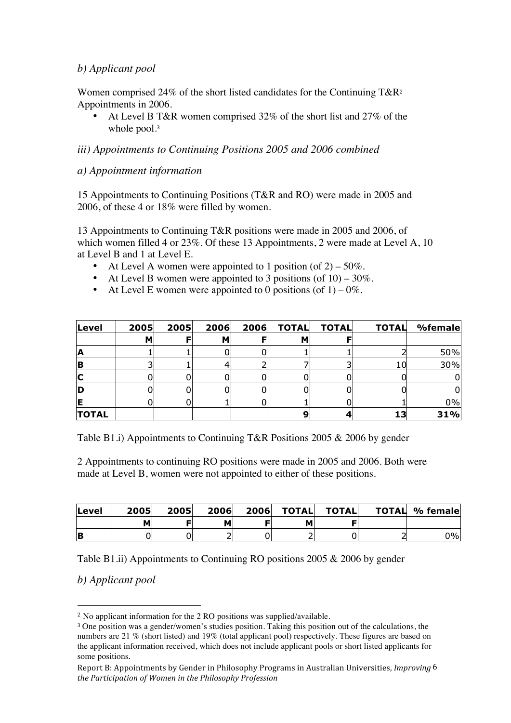#### *b) Applicant pool*

Women comprised 24% of the short listed candidates for the Continuing T&R<sup>2</sup> Appointments in 2006.

• At Level B T&R women comprised 32% of the short list and 27% of the whole pool.<sup>3</sup>

#### *iii) Appointments to Continuing Positions 2005 and 2006 combined*

#### *a) Appointment information*

15 Appointments to Continuing Positions (T&R and RO) were made in 2005 and 2006, of these 4 or 18% were filled by women.

13 Appointments to Continuing T&R positions were made in 2005 and 2006, of which women filled 4 or 23%. Of these 13 Appointments, 2 were made at Level A, 10 at Level B and 1 at Level E.

- At Level A women were appointed to 1 position (of  $2$ ) 50%.
- At Level B women were appointed to 3 positions (of  $10 30\%$ ).
- At Level E women were appointed to 0 positions (of  $1$ ) 0%.

| Level        | 2005 | 2005 | 2006 | 2006 | <b>TOTAL</b> | <b>TOTAL</b> | <b>TOTAL</b> | %female |
|--------------|------|------|------|------|--------------|--------------|--------------|---------|
|              | м    |      | м    |      | М            |              |              |         |
| ΙA           |      |      |      |      |              |              |              | 50%     |
| IB           |      |      |      |      |              |              | 10           | 30%     |
| IC           |      |      |      |      |              |              |              |         |
| ID           |      |      |      |      |              |              |              |         |
|              |      |      |      |      |              |              |              | 0%      |
| <b>TOTAL</b> |      |      |      |      |              |              | 13           | 31%     |

Table B1.i) Appointments to Continuing T&R Positions 2005 & 2006 by gender

2 Appointments to continuing RO positions were made in 2005 and 2006. Both were made at Level B, women were not appointed to either of these positions.

| Level | 2005 | 2005 | 2006 | 2006 | <b>TOTAL</b> | TOTALI | <b>TOTAL % female</b> |
|-------|------|------|------|------|--------------|--------|-----------------------|
|       |      |      |      |      |              |        |                       |
| IB    |      |      |      |      |              |        | 0%l                   |

Table B1.ii) Appointments to Continuing RO positions 2005 & 2006 by gender

*b) Applicant pool*

 $\overline{a}$ 

<sup>2</sup> No applicant information for the 2 RO positions was supplied/available.

<sup>3</sup> One position was a gender/women's studies position. Taking this position out of the calculations, the numbers are 21 % (short listed) and 19% (total applicant pool) respectively. These figures are based on the applicant information received, which does not include applicant pools or short listed applicants for some positions.

Report B: Appointments by Gender in Philosophy Programs in Australian Universities, *Improving*  6 *the Participation of Women in the Philosophy Profession*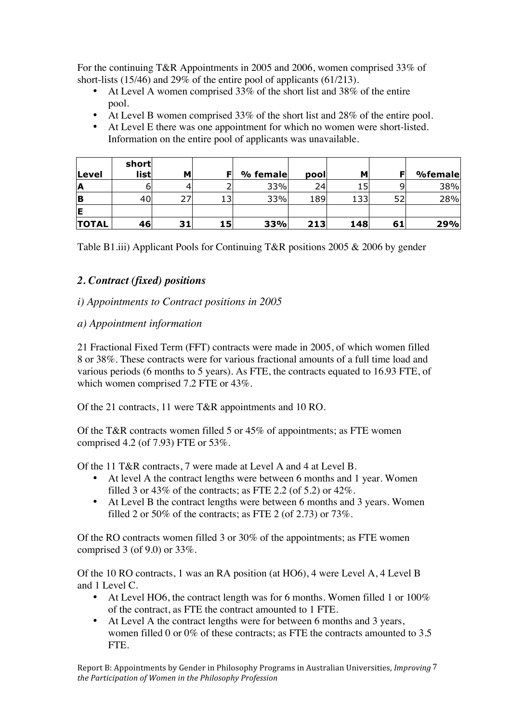For the continuing T&R Appointments in 2005 and 2006, women comprised 33% of short-lists (15/46) and 29% of the entire pool of applicants (61/213).

- At Level A women comprised 33% of the short list and 38% of the entire pool.
- At Level B women comprised 33% of the short list and 28% of the entire pool.
- At Level E there was one appointment for which no women were short-listed. Information on the entire pool of applicants was unavailable.

|              | short |    |    |          |      |     |    |         |
|--------------|-------|----|----|----------|------|-----|----|---------|
| Level        | list  | м  |    | % female | pool | м   | F  | %female |
| IA           | o     |    |    | 33%      | 24   | 15  |    | 38%     |
| <b>B</b>     | 40    |    |    | 33%      | 189  | 133 | 52 | 28%     |
| lE           |       |    |    |          |      |     |    |         |
| <b>TOTAL</b> | 46    | 31 | 15 | 33%      | 213  | 148 | 61 | 29%     |

Table B1.iii) Applicant Pools for Continuing T&R positions 2005 & 2006 by gender

## *2. Contract (fixed) positions*

#### *i) Appointments to Contract positions in 2005*

#### *a) Appointment information*

21 Fractional Fixed Term (FFT) contracts were made in 2005, of which women filled 8 or 38%. These contracts were for various fractional amounts of a full time load and various periods (6 months to 5 years). As FTE, the contracts equated to 16.93 FTE, of which women comprised 7.2 FTE or 43%.

Of the 21 contracts, 11 were T&R appointments and 10 RO.

Of the T&R contracts women filled 5 or 45% of appointments; as FTE women comprised 4.2 (of 7.93) FTE or 53%.

Of the 11 T&R contracts, 7 were made at Level A and 4 at Level B.

- At level A the contract lengths were between 6 months and 1 year. Women filled 3 or 43% of the contracts; as FTE 2.2 (of 5.2) or 42%.
- At Level B the contract lengths were between 6 months and 3 years. Women filled 2 or 50% of the contracts; as FTE 2 (of 2.73) or  $73\%$ .

Of the RO contracts women filled 3 or 30% of the appointments; as FTE women comprised 3 (of 9.0) or 33%.

Of the 10 RO contracts, 1 was an RA position (at HO6), 4 were Level A, 4 Level B and 1 Level C.

- At Level HO6, the contract length was for 6 months. Women filled 1 or  $100\%$ of the contract, as FTE the contract amounted to 1 FTE.
- At Level A the contract lengths were for between 6 months and 3 years, women filled 0 or 0% of these contracts; as FTE the contracts amounted to 3.5 FTE.

Report B: Appointments by Gender in Philosophy Programs in Australian Universities, *Improving*  7 *the Participation of Women in the Philosophy Profession*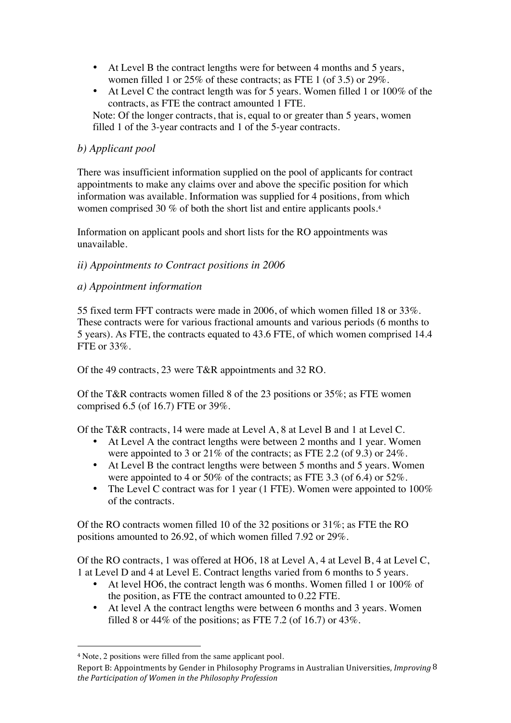- At Level B the contract lengths were for between 4 months and 5 years, women filled 1 or 25% of these contracts; as FTE 1 (of 3.5) or 29%.
- At Level C the contract length was for 5 years. Women filled 1 or 100% of the contracts, as FTE the contract amounted 1 FTE.

Note: Of the longer contracts, that is, equal to or greater than 5 years, women filled 1 of the 3-year contracts and 1 of the 5-year contracts.

## *b) Applicant pool*

There was insufficient information supplied on the pool of applicants for contract appointments to make any claims over and above the specific position for which information was available. Information was supplied for 4 positions, from which women comprised 30 % of both the short list and entire applicants pools.<sup>4</sup>

Information on applicant pools and short lists for the RO appointments was unavailable.

## *ii) Appointments to Contract positions in 2006*

## *a) Appointment information*

55 fixed term FFT contracts were made in 2006, of which women filled 18 or 33%. These contracts were for various fractional amounts and various periods (6 months to 5 years). As FTE, the contracts equated to 43.6 FTE, of which women comprised 14.4 FTE or 33%.

Of the 49 contracts, 23 were T&R appointments and 32 RO.

Of the T&R contracts women filled 8 of the 23 positions or 35%; as FTE women comprised 6.5 (of 16.7) FTE or 39%.

Of the T&R contracts, 14 were made at Level A, 8 at Level B and 1 at Level C.

- At Level A the contract lengths were between 2 months and 1 year. Women were appointed to 3 or 21% of the contracts; as FTE 2.2 (of 9.3) or 24%.
- At Level B the contract lengths were between 5 months and 5 years. Women were appointed to 4 or 50% of the contracts; as FTE 3.3 (of 6.4) or 52%.
- The Level C contract was for 1 year (1 FTE). Women were appointed to 100% of the contracts.

Of the RO contracts women filled 10 of the 32 positions or 31%; as FTE the RO positions amounted to 26.92, of which women filled 7.92 or 29%.

Of the RO contracts, 1 was offered at HO6, 18 at Level A, 4 at Level B, 4 at Level C, 1 at Level D and 4 at Level E. Contract lengths varied from 6 months to 5 years.

- At level HO6, the contract length was 6 months. Women filled 1 or 100% of the position, as FTE the contract amounted to 0.22 FTE.
- At level A the contract lengths were between 6 months and 3 years. Women filled 8 or 44% of the positions; as FTE 7.2 (of 16.7) or 43%.

 $\overline{a}$ 

<sup>4</sup> Note, 2 positions were filled from the same applicant pool.

Report B: Appointments by Gender in Philosophy Programs in Australian Universities, *Improving*  8 *the Participation of Women in the Philosophy Profession*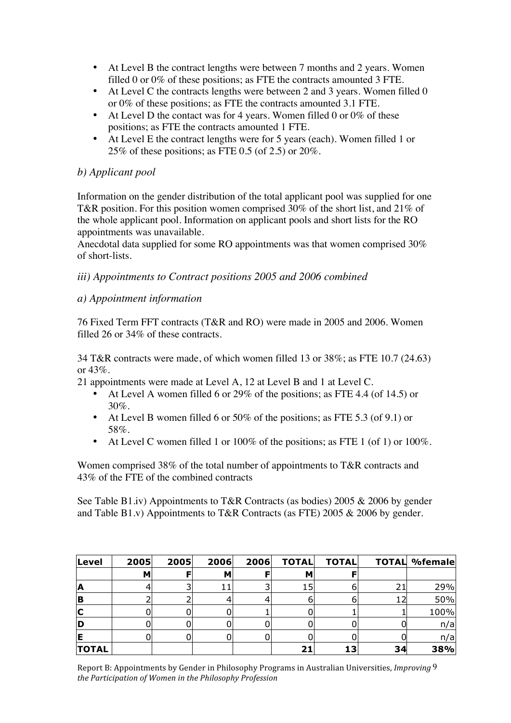- At Level B the contract lengths were between 7 months and 2 years. Women filled 0 or 0% of these positions; as FTE the contracts amounted 3 FTE.
- At Level C the contracts lengths were between 2 and 3 years. Women filled 0 or 0% of these positions; as FTE the contracts amounted 3.1 FTE.
- At Level D the contact was for 4 years. Women filled 0 or  $0\%$  of these positions; as FTE the contracts amounted 1 FTE.
- At Level E the contract lengths were for 5 years (each). Women filled 1 or 25% of these positions; as FTE 0.5 (of 2.5) or  $20\%$ .

### *b) Applicant pool*

Information on the gender distribution of the total applicant pool was supplied for one T&R position. For this position women comprised 30% of the short list, and 21% of the whole applicant pool. Information on applicant pools and short lists for the RO appointments was unavailable.

Anecdotal data supplied for some RO appointments was that women comprised 30% of short-lists.

#### *iii) Appointments to Contract positions 2005 and 2006 combined*

#### *a) Appointment information*

76 Fixed Term FFT contracts (T&R and RO) were made in 2005 and 2006. Women filled 26 or 34% of these contracts.

34 T&R contracts were made, of which women filled 13 or 38%; as FTE 10.7 (24.63) or 43%.

- 21 appointments were made at Level A, 12 at Level B and 1 at Level C.
	- At Level A women filled 6 or 29% of the positions; as FTE 4.4 (of 14.5) or 30%.
	- At Level B women filled 6 or 50% of the positions; as FTE 5.3 (of 9.1) or 58%.
	- At Level C women filled 1 or 100% of the positions; as FTE 1 (of 1) or 100%.

Women comprised 38% of the total number of appointments to T&R contracts and 43% of the FTE of the combined contracts

See Table B1.iv) Appointments to T&R Contracts (as bodies) 2005 & 2006 by gender and Table B1.v) Appointments to T&R Contracts (as FTE) 2005 & 2006 by gender.

| Level        | 2005 | 2005 | 2006 | 2006 | <b>TOTAL</b> | <b>TOTAL</b> |    | <b>TOTAL %female</b> |
|--------------|------|------|------|------|--------------|--------------|----|----------------------|
|              | M    |      | м    |      | м            |              |    |                      |
| ΙA           |      |      |      |      |              |              | 21 | 29%                  |
| ΙB           |      |      |      |      |              |              |    | 50%                  |
| IC           |      |      |      |      |              |              |    | 100%                 |
| ID           |      |      |      |      |              |              |    | n/a                  |
| IE           |      |      |      |      |              |              |    | n/a                  |
| <b>TOTAL</b> |      |      |      |      |              | 13           | 34 | 38%                  |

Report B: Appointments by Gender in Philosophy Programs in Australian Universities, *Improving*  9 *the Participation of Women in the Philosophy Profession*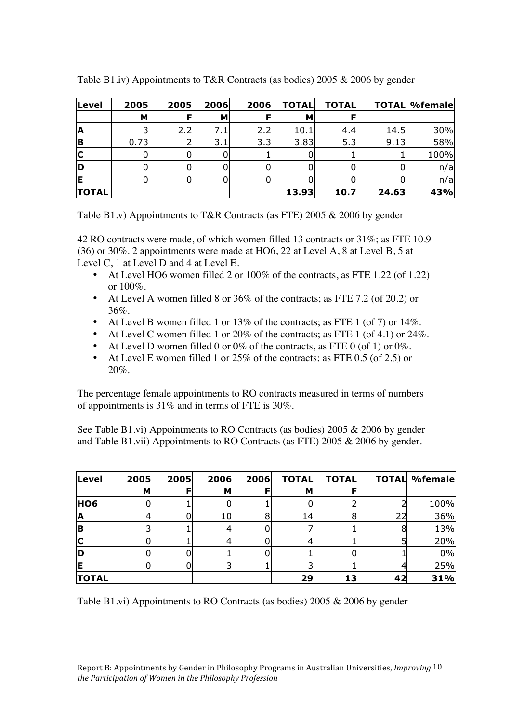| Level                   | 2005 | 2005 | 2006 | 2006 | <b>TOTAL</b> | <b>TOTAL</b> |       | <b>TOTAL %female</b> |
|-------------------------|------|------|------|------|--------------|--------------|-------|----------------------|
|                         | м    | F    | M    |      | м            |              |       |                      |
| <b>A</b>                |      | 2.2  | 7.1  | 2.2  | 10.1         | 4.4          | 14.5  | 30%                  |
| B                       | 0.73 |      | 3.1  | 3.3  | 3.83         | 5.3          | 9.13  | 58%                  |
| $\overline{\mathbf{C}}$ |      |      |      |      |              |              |       | 100%                 |
| ID                      |      |      |      |      |              |              |       | n/a                  |
| lE                      |      |      |      |      |              |              |       | n/a                  |
| <b>TOTAL</b>            |      |      |      |      | 13.93        | 10.7         | 24.63 | 43%                  |

Table B1.iv) Appointments to T&R Contracts (as bodies) 2005 & 2006 by gender

Table B1.v) Appointments to T&R Contracts (as FTE) 2005 & 2006 by gender

42 RO contracts were made, of which women filled 13 contracts or 31%; as FTE 10.9 (36) or 30%. 2 appointments were made at HO6, 22 at Level A, 8 at Level B, 5 at Level C, 1 at Level D and 4 at Level E.

- At Level HO6 women filled 2 or 100% of the contracts, as FTE 1.22 (of 1.22) or 100%.
- At Level A women filled 8 or 36% of the contracts; as FTE 7.2 (of 20.2) or 36%.
- At Level B women filled 1 or  $13\%$  of the contracts; as FTE 1 (of 7) or  $14\%$ .
- At Level C women filled 1 or 20% of the contracts; as FTE 1 (of 4.1) or  $24\%$ .
- At Level D women filled 0 or 0% of the contracts, as FTE 0 (of 1) or 0%.<br>• At Level E women filled 1 or 25% of the contracts; as FTE 0.5 (of 2.5) or
- At Level E women filled 1 or 25% of the contracts; as FTE 0.5 (of 2.5) or 20%.

The percentage female appointments to RO contracts measured in terms of numbers of appointments is 31% and in terms of FTE is 30%.

See Table B1.vi) Appointments to RO Contracts (as bodies) 2005 & 2006 by gender and Table B1.vii) Appointments to RO Contracts (as FTE) 2005 & 2006 by gender.

| Level        | 2005 | 2005 | 2006 | 2006 | <b>TOTAL</b> | <b>TOTAL</b> | <b>TOTAL</b> | %female |
|--------------|------|------|------|------|--------------|--------------|--------------|---------|
|              | M    |      | м    |      | м            |              |              |         |
| <b>HO6</b>   | υ    |      |      |      |              |              |              | 100%    |
| ΙA           |      |      | 10   |      | 14           | 8            | 22           | 36%     |
| <b>IB</b>    |      |      |      |      |              |              | 8            | 13%     |
| IC           |      |      |      |      |              |              |              | 20%     |
| D            |      |      |      |      |              |              |              | 0%      |
| IE           |      |      |      |      |              |              |              | 25%     |
| <b>TOTAL</b> |      |      |      |      | 29           | 13           | 42           | 31%     |

Table B1.vi) Appointments to RO Contracts (as bodies) 2005 & 2006 by gender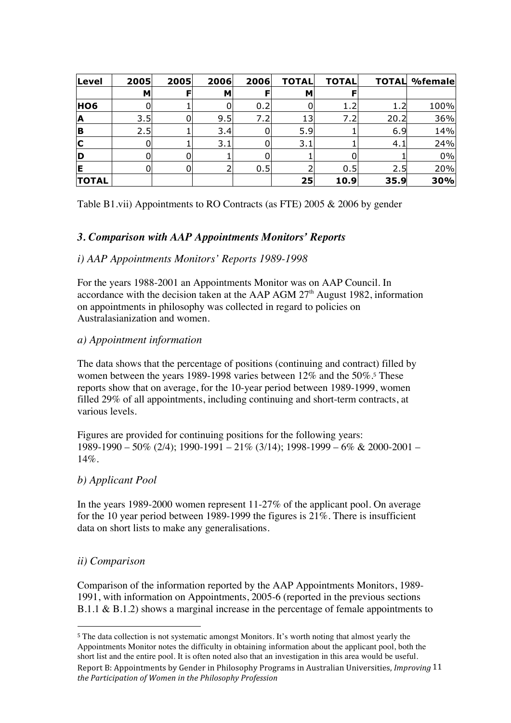| Level                   | 2005 | 2005 | 2006 | 2006 | <b>TOTAL</b> | <b>TOTAL</b> | <b>TOTAL</b> | %female |
|-------------------------|------|------|------|------|--------------|--------------|--------------|---------|
|                         | M    |      | м    |      | М            |              |              |         |
| <b>HO6</b>              |      |      |      | 0.2  |              | 1.2          | 1.2          | 100%    |
| <b>A</b>                | 3.5  | 0    | 9.5  | 7.2  | 13           | 7.2          | 20.2         | 36%     |
| B                       | 2.5  |      | 3.4  |      | 5.9          |              | 6.9          | 14%     |
| $\overline{\mathbf{C}}$ | 0    |      | 3.1  |      | 3.1          |              | 4.1          | 24%     |
| ID                      | 0    |      |      |      |              |              |              | 0%      |
| ΙE                      | 0    |      |      | 0.5  |              | 0.5          | 2.5          | 20%     |
| <b>TOTAL</b>            |      |      |      |      | 25           | 10.9         | 35.9         | 30%     |

Table B1.vii) Appointments to RO Contracts (as FTE) 2005 & 2006 by gender

## *3. Comparison with AAP Appointments Monitors' Reports*

#### *i) AAP Appointments Monitors' Reports 1989-1998*

For the years 1988-2001 an Appointments Monitor was on AAP Council. In accordance with the decision taken at the AAP AGM  $27<sup>th</sup>$  August 1982, information on appointments in philosophy was collected in regard to policies on Australasianization and women.

#### *a) Appointment information*

The data shows that the percentage of positions (continuing and contract) filled by women between the years 1989-1998 varies between 12% and the 50%.5 These reports show that on average, for the 10-year period between 1989-1999, women filled 29% of all appointments, including continuing and short-term contracts, at various levels.

Figures are provided for continuing positions for the following years: 1989-1990 – 50% (2/4); 1990-1991 – 21% (3/14); 1998-1999 – 6% & 2000-2001 – 14%.

#### *b) Applicant Pool*

In the years 1989-2000 women represent 11-27% of the applicant pool. On average for the 10 year period between 1989-1999 the figures is 21%. There is insufficient data on short lists to make any generalisations.

#### *ii) Comparison*

 $\overline{a}$ 

Comparison of the information reported by the AAP Appointments Monitors, 1989- 1991, with information on Appointments, 2005-6 (reported in the previous sections B.1.1 & B.1.2) shows a marginal increase in the percentage of female appointments to

Report B: Appointments by Gender in Philosophy Programs in Australian Universities, *Improving*  11 *the Participation of Women in the Philosophy Profession* <sup>5</sup> The data collection is not systematic amongst Monitors. It's worth noting that almost yearly the Appointments Monitor notes the difficulty in obtaining information about the applicant pool, both the short list and the entire pool. It is often noted also that an investigation in this area would be useful.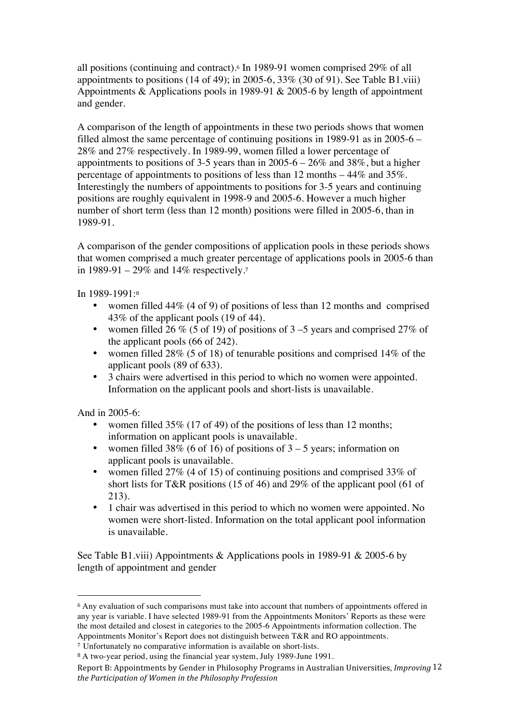all positions (continuing and contract).6 In 1989-91 women comprised 29% of all appointments to positions  $(14$  of 49); in 2005-6, 33%  $(30$  of 91). See Table B1 viii) Appointments & Applications pools in 1989-91 & 2005-6 by length of appointment and gender.

A comparison of the length of appointments in these two periods shows that women filled almost the same percentage of continuing positions in 1989-91 as in 2005-6 – 28% and 27% respectively. In 1989-99, women filled a lower percentage of appointments to positions of 3-5 years than in 2005-6 – 26% and 38%, but a higher percentage of appointments to positions of less than 12 months – 44% and 35%. Interestingly the numbers of appointments to positions for 3-5 years and continuing positions are roughly equivalent in 1998-9 and 2005-6. However a much higher number of short term (less than 12 month) positions were filled in 2005-6, than in 1989-91.

A comparison of the gender compositions of application pools in these periods shows that women comprised a much greater percentage of applications pools in 2005-6 than in 1989-91 – 29% and 14% respectively.<sup>7</sup>

In 1989-1991:<sup>8</sup>

- women filled 44% (4 of 9) of positions of less than 12 months and comprised 43% of the applicant pools (19 of 44).
- women filled 26 % (5 of 19) of positions of  $3-5$  years and comprised 27% of the applicant pools (66 of 242).
- women filled 28% (5 of 18) of tenurable positions and comprised 14% of the applicant pools (89 of 633).
- 3 chairs were advertised in this period to which no women were appointed. Information on the applicant pools and short-lists is unavailable.

And in 2005-6:

 $\overline{a}$ 

- women filled 35% (17 of 49) of the positions of less than 12 months; information on applicant pools is unavailable.
- women filled 38% (6 of 16) of positions of  $3 5$  years; information on applicant pools is unavailable.
- women filled 27% (4 of 15) of continuing positions and comprised 33% of short lists for T&R positions (15 of 46) and 29% of the applicant pool (61 of 213).
- 1 chair was advertised in this period to which no women were appointed. No women were short-listed. Information on the total applicant pool information is unavailable.

See Table B1.viii) Appointments & Applications pools in 1989-91 & 2005-6 by length of appointment and gender

<sup>&</sup>lt;sup>6</sup> Any evaluation of such comparisons must take into account that numbers of appointments offered in any year is variable. I have selected 1989-91 from the Appointments Monitors' Reports as these were the most detailed and closest in categories to the 2005-6 Appointments information collection. The Appointments Monitor's Report does not distinguish between T&R and RO appointments.

<sup>7</sup> Unfortunately no comparative information is available on short-lists.

<sup>8</sup> A two-year period, using the financial year system, July 1989-June 1991.

Report B: Appointments by Gender in Philosophy Programs in Australian Universities, *Improving*  12 *the Participation of Women in the Philosophy Profession*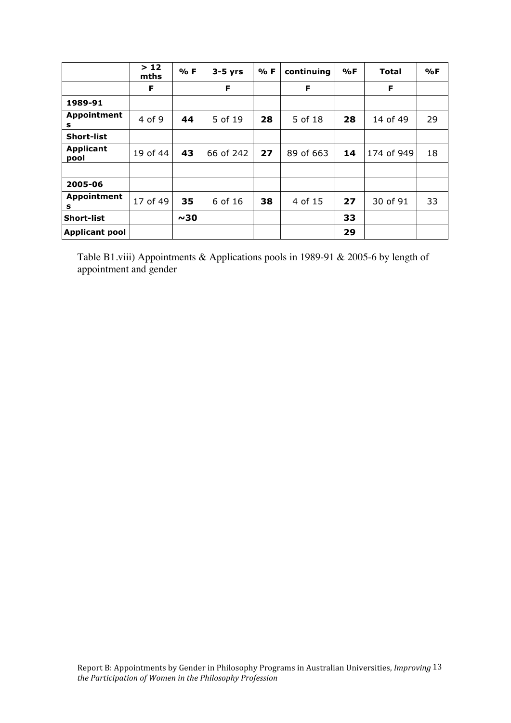|                          | >12<br>mths | % F | $3-5$ yrs | % F | continuing | %F | Total      | %F |
|--------------------------|-------------|-----|-----------|-----|------------|----|------------|----|
|                          | F           |     | F         |     | F          |    | F          |    |
| 1989-91                  |             |     |           |     |            |    |            |    |
| <b>Appointment</b><br>s  | 4 of 9      | 44  | 5 of 19   | 28  | 5 of 18    | 28 | 14 of 49   | 29 |
| <b>Short-list</b>        |             |     |           |     |            |    |            |    |
| <b>Applicant</b><br>pool | 19 of 44    | 43  | 66 of 242 | 27  | 89 of 663  | 14 | 174 of 949 | 18 |
|                          |             |     |           |     |            |    |            |    |
| 2005-06                  |             |     |           |     |            |    |            |    |
| <b>Appointment</b><br>s  | 17 of 49    | 35  | 6 of 16   | 38  | 4 of 15    | 27 | 30 of 91   | 33 |
| Short-list               |             | ~10 |           |     |            | 33 |            |    |
| <b>Applicant pool</b>    |             |     |           |     |            | 29 |            |    |

Table B1.viii) Appointments & Applications pools in 1989-91 & 2005-6 by length of appointment and gender